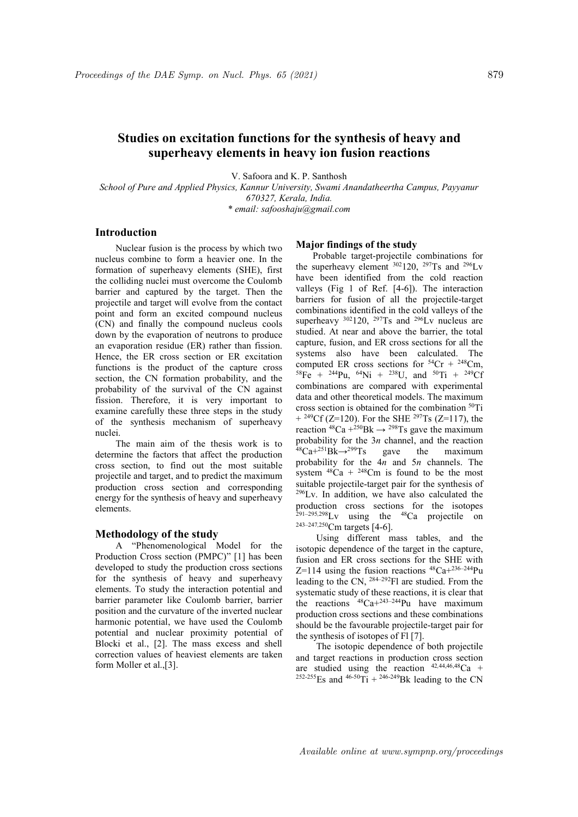# Studies on excitation functions for the synthesis of heavy and superheavy elements in heavy ion fusion reactions

V. Safoora and K. P. Santhosh

School of Pure and Applied Physics, Kannur University, Swami Anandatheertha Campus, Payyanur 670327, Kerala, India. \* email: safooshaju@gmail.com

## Introduction

Nuclear fusion is the process by which two nucleus combine to form a heavier one. In the formation of superheavy elements (SHE), first the colliding nuclei must overcome the Coulomb barrier and captured by the target. Then the projectile and target will evolve from the contact point and form an excited compound nucleus (CN) and finally the compound nucleus cools down by the evaporation of neutrons to produce an evaporation residue (ER) rather than fission. Hence, the ER cross section or ER excitation functions is the product of the capture cross section, the CN formation probability, and the probability of the survival of the CN against fission. Therefore, it is very important to examine carefully these three steps in the study of the synthesis mechanism of superheavy nuclei.

The main aim of the thesis work is to determine the factors that affect the production cross section, to find out the most suitable projectile and target, and to predict the maximum production cross section and corresponding energy for the synthesis of heavy and superheavy elements.

#### Methodology of the study

A "Phenomenological Model for the Production Cross section (PMPC)" [1] has been developed to study the production cross sections for the synthesis of heavy and superheavy elements. To study the interaction potential and barrier parameter like Coulomb barrier, barrier position and the curvature of the inverted nuclear harmonic potential, we have used the Coulomb potential and nuclear proximity potential of Blocki et al., [2]. The mass excess and shell correction values of heaviest elements are taken form Moller et al.,[3].

#### Major findings of the study

Probable target-projectile combinations for the superheavy element  $302120$ ,  $297$ Ts and  $296$ Lv have been identified from the cold reaction valleys (Fig 1 of Ref. [4-6]). The interaction barriers for fusion of all the projectile-target combinations identified in the cold valleys of the superheavy  $302120$ ,  $297Ts$  and  $296Lv$  nucleus are studied. At near and above the barrier, the total capture, fusion, and ER cross sections for all the systems also have been calculated. The computed ER cross sections for  $54Cr + 248Cm$ ,  ${}^{58}Fe$  +  ${}^{244}Pu$ ,  ${}^{64}Ni$  +  ${}^{238}U$ , and  ${}^{50}Ti$  +  ${}^{249}Cf$ combinations are compared with experimental data and other theoretical models. The maximum cross section is obtained for the combination <sup>50</sup>Ti  $+$  <sup>249</sup>Cf (Z=120). For the SHE <sup>297</sup>Ts (Z=117), the reaction  $48Ca + 250Bk \rightarrow 298Ts$  gave the maximum probability for the 3n channel, and the reaction  $48Ca+251Bk \rightarrow 299Ts$  gave the maximum probability for the  $4n$  and  $5n$  channels. The system  $48\text{Ca} + 248\text{Cm}$  is found to be the most suitable projectile-target pair for the synthesis of <sup>296</sup>Lv. In addition, we have also calculated the production cross sections for the isotopes  $291-295,298$ Ly using the  $48$ Ca projectile on 243–247,<sup>250</sup>Cm targets [4-6].

Using different mass tables, and the isotopic dependence of the target in the capture, fusion and ER cross sections for the SHE with Z=114 using the fusion reactions  ${}^{48}Ca+{}^{236-244}Pu$ leading to the CN,  $^{284-292}$ Fl are studied. From the systematic study of these reactions, it is clear that the reactions  $^{48}Ca + ^{243-244}Pu$  have maximum production cross sections and these combinations should be the favourable projectile-target pair for the synthesis of isotopes of Fl [7].

The isotopic dependence of both projectile and target reactions in production cross section are studied using the reaction  $42,44,46,48$ Ca + <sup>252-255</sup>Es and <sup>46-50</sup>Ti + <sup>246-249</sup>Bk leading to the CN